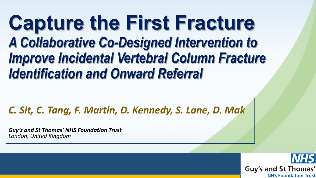# **Capture the First Fracture**  *A Collaborative Co-Designed Intervention to Improve Incidental Vertebral Column Fracture Identification and Onward Referral*

#### *C. Sit, C. Tang, F. Martin, D. Kennedy, S. Lane, D. Mak*

*Guy's and St Thomas' NHS Foundation Trust London, United Kingdom*

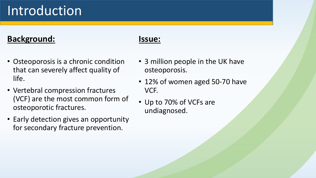# Introduction

#### **Background:**

- Osteoporosis is a chronic condition that can severely affect quality of life.
- Vertebral compression fractures (VCF) are the most common form of osteoporotic fractures.
- Early detection gives an opportunity for secondary fracture prevention.

#### **Issue:**

- 3 million people in the UK have osteoporosis.
- 12% of women aged 50-70 have VCF.
- Up to 70% of VCFs are undiagnosed.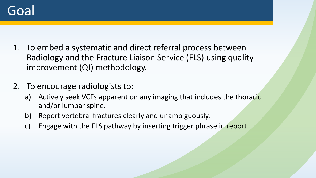

- 1. To embed a systematic and direct referral process between Radiology and the Fracture Liaison Service (FLS) using quality improvement (QI) methodology.
- 2. To encourage radiologists to:
	- a) Actively seek VCFs apparent on any imaging that includes the thoracic and/or lumbar spine.
	- b) Report vertebral fractures clearly and unambiguously.
	- c) Engage with the FLS pathway by inserting trigger phrase in report.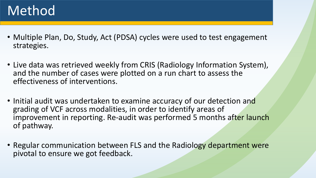### Method

- Multiple Plan, Do, Study, Act (PDSA) cycles were used to test engagement strategies.
- Live data was retrieved weekly from CRIS (Radiology Information System), and the number of cases were plotted on a run chart to assess the effectiveness of interventions.
- Initial audit was undertaken to examine accuracy of our detection and grading of VCF across modalities, in order to identify areas of improvement in reporting. Re-audit was performed 5 months after launch of pathway.
- Regular communication between FLS and the Radiology department were pivotal to ensure we got feedback.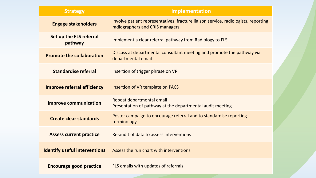| <b>Strategy</b>                      | <b>Implementation</b>                                                                                                 |  |  |  |
|--------------------------------------|-----------------------------------------------------------------------------------------------------------------------|--|--|--|
| <b>Engage stakeholders</b>           | Involve patient representatives, fracture liaison service, radiologists, reporting<br>radiographers and CRIS managers |  |  |  |
| Set up the FLS referral<br>pathway   | Implement a clear referral pathway from Radiology to FLS                                                              |  |  |  |
| <b>Promote the collaboration</b>     | Discuss at departmental consultant meeting and promote the pathway via<br>departmental email                          |  |  |  |
| <b>Standardise referral</b>          | Insertion of trigger phrase on VR                                                                                     |  |  |  |
| <b>Improve referral efficiency</b>   | Insertion of VR template on PACS                                                                                      |  |  |  |
| <b>Improve communication</b>         | Repeat departmental email<br>Presentation of pathway at the departmental audit meeting                                |  |  |  |
| <b>Create clear standards</b>        | Poster campaign to encourage referral and to standardise reporting<br>terminology                                     |  |  |  |
| <b>Assess current practice</b>       | Re-audit of data to assess interventions                                                                              |  |  |  |
| <b>Identify useful interventions</b> | Assess the run chart with interventions                                                                               |  |  |  |
| <b>Encourage good practice</b>       | FLS emails with updates of referrals                                                                                  |  |  |  |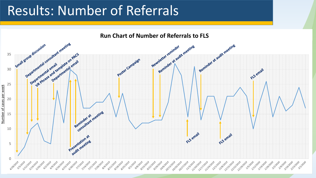### Results: Number of Referrals

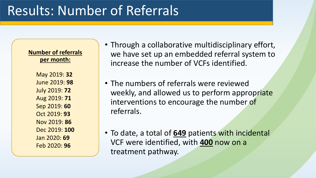**Number of referrals per month:**

- May 2019: **32**
- June 2019: **98** July 2019: **72**
- Aug 2019: **71**
- Sep 2019: **60**
- Oct 2019: **93**
- Nov 2019: **86**
- Dec 2019: **100** Jan 2020: **69**
- Feb 2020: **96**
- Through a collaborative multidisciplinary effort, we have set up an embedded referral system to increase the number of VCFs identified.
- The numbers of referrals were reviewed weekly, and allowed us to perform appropriate interventions to encourage the number of referrals.
- To date, a total of **649** patients with incidental VCF were identified, with **400** now on a treatment pathway.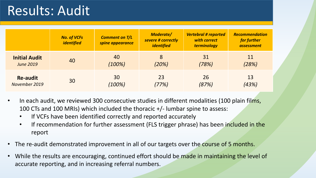### Results: Audit

|                      | <b>No. of VCFs</b><br><i>identified</i> | <b>Comment on T/L</b><br>spine appearance | <b>Moderate/</b><br>severe # correctly<br>identified | <b>Vertebral # reported</b><br>with correct<br>terminology | <b>Recommendation</b><br>for further<br><i>assessment</i> |
|----------------------|-----------------------------------------|-------------------------------------------|------------------------------------------------------|------------------------------------------------------------|-----------------------------------------------------------|
| <b>Initial Audit</b> | 40                                      | 40                                        | 8                                                    | 31                                                         | 11                                                        |
| <b>June 2019</b>     |                                         | (100%)                                    | (20%)                                                | (78%)                                                      | (28%)                                                     |
| <b>Re-audit</b>      | 30                                      | 30                                        | 23                                                   | 26                                                         | 13                                                        |
| November 2019        |                                         | (100%)                                    | (77%)                                                | (87%)                                                      | (43%)                                                     |

- In each audit, we reviewed 300 consecutive studies in different modalities (100 plain films, 100 CTs and 100 MRIs) which included the thoracic +/- lumbar spine to assess:
	- If VCFs have been identified correctly and reported accurately
	- If recommendation for further assessment (FLS trigger phrase) has been included in the report
- The re-audit demonstrated improvement in all of our targets over the course of 5 months.
- While the results are encouraging, continued effort should be made in maintaining the level of accurate reporting, and in increasing referral numbers.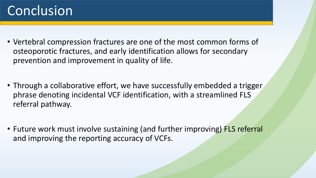# Conclusion

- Vertebral compression fractures are one of the most common forms of osteoporotic fractures, and early identification allows for secondary prevention and improvement in quality of life.
- Through a collaborative effort, we have successfully embedded a trigger phrase denoting incidental VCF identification, with a streamlined FLS referral pathway.
- Future work must involve sustaining (and further improving) FLS referral and improving the reporting accuracy of VCFs.